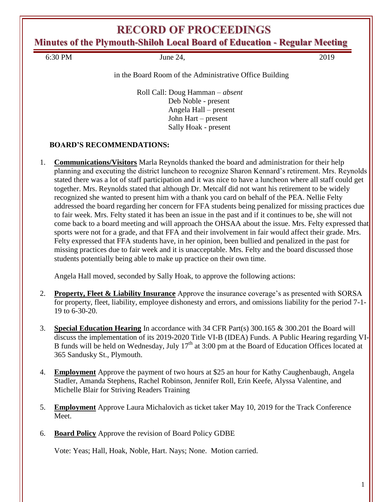**Minutes of the Plymouth-Shiloh Local Board of Education - Regular Meeting**

6:30 PM June 24, 2019

in the Board Room of the Administrative Office Building

Roll Call: Doug Hamman – *absent* Deb Noble - present Angela Hall – present John Hart – present Sally Hoak - present

#### **BOARD'S RECOMMENDATIONS:**

1. **Communications/Visitors** Marla Reynolds thanked the board and administration for their help planning and executing the district luncheon to recognize Sharon Kennard's retirement. Mrs. Reynolds stated there was a lot of staff participation and it was nice to have a luncheon where all staff could get together. Mrs. Reynolds stated that although Dr. Metcalf did not want his retirement to be widely recognized she wanted to present him with a thank you card on behalf of the PEA. Nellie Felty addressed the board regarding her concern for FFA students being penalized for missing practices due to fair week. Mrs. Felty stated it has been an issue in the past and if it continues to be, she will not come back to a board meeting and will approach the OHSAA about the issue. Mrs. Felty expressed that sports were not for a grade, and that FFA and their involvement in fair would affect their grade. Mrs. Felty expressed that FFA students have, in her opinion, been bullied and penalized in the past for missing practices due to fair week and it is unacceptable. Mrs. Felty and the board discussed those students potentially being able to make up practice on their own time.

Angela Hall moved, seconded by Sally Hoak, to approve the following actions:

- 2. **Property, Fleet & Liability Insurance** Approve the insurance coverage's as presented with SORSA for property, fleet, liability, employee dishonesty and errors, and omissions liability for the period 7-1- 19 to 6-30-20.
- 3. **Special Education Hearing** In accordance with 34 CFR Part(s) 300.165 & 300.201 the Board will discuss the implementation of its 2019-2020 Title VI-B (IDEA) Funds. A Public Hearing regarding VI-B funds will be held on Wednesday, July  $17<sup>th</sup>$  at 3:00 pm at the Board of Education Offices located at 365 Sandusky St., Plymouth.
- 4. **Employment** Approve the payment of two hours at \$25 an hour for Kathy Caughenbaugh, Angela Stadler, Amanda Stephens, Rachel Robinson, Jennifer Roll, Erin Keefe, Alyssa Valentine, and Michelle Blair for Striving Readers Training
- 5. **Employment** Approve Laura Michalovich as ticket taker May 10, 2019 for the Track Conference Meet.
- 6. **Board Policy** Approve the revision of Board Policy GDBE

Vote: Yeas; Hall, Hoak, Noble, Hart. Nays; None. Motion carried.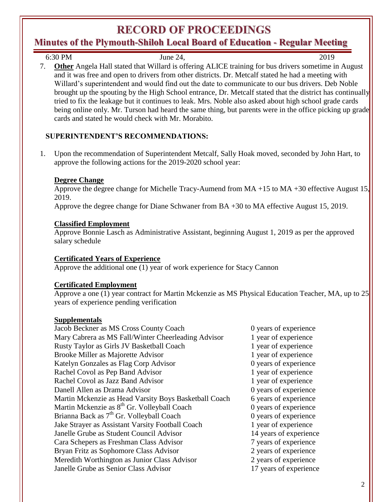### **Minutes of the Plymouth-Shiloh Local Board of Education - Regular Meeting**

6:30 PM June 24, 2019 7. **Other** Angela Hall stated that Willard is offering ALICE training for bus drivers sometime in August and it was free and open to drivers from other districts. Dr. Metcalf stated he had a meeting with Willard's superintendent and would find out the date to communicate to our bus drivers. Deb Noble brought up the spouting by the High School entrance, Dr. Metcalf stated that the district has continually tried to fix the leakage but it continues to leak. Mrs. Noble also asked about high school grade cards being online only. Mr. Turson had heard the same thing, but parents were in the office picking up grade cards and stated he would check with Mr. Morabito.

#### **SUPERINTENDENT'S RECOMMENDATIONS:**

1. Upon the recommendation of Superintendent Metcalf, Sally Hoak moved, seconded by John Hart, to approve the following actions for the 2019-2020 school year:

#### **Degree Change**

Approve the degree change for Michelle Tracy-Aumend from MA +15 to MA +30 effective August 15, 2019.

Approve the degree change for Diane Schwaner from BA +30 to MA effective August 15, 2019.

#### **Classified Employment**

Approve Bonnie Lasch as Administrative Assistant, beginning August 1, 2019 as per the approved salary schedule

#### **Certificated Years of Experience**

Approve the additional one (1) year of work experience for Stacy Cannon

#### **Certificated Employment**

Approve a one (1) year contract for Martin Mckenzie as MS Physical Education Teacher, MA, up to 25 years of experience pending verification

#### **Supplementals**

| Jacob Beckner as MS Cross County Coach                  | 0 years of experience  |
|---------------------------------------------------------|------------------------|
| Mary Cabrera as MS Fall/Winter Cheerleading Advisor     | 1 year of experience   |
| Rusty Taylor as Girls JV Basketball Coach               | 1 year of experience   |
| Brooke Miller as Majorette Advisor                      | 1 year of experience   |
| Katelyn Gonzales as Flag Corp Advisor                   | 0 years of experience  |
| Rachel Covol as Pep Band Advisor                        | 1 year of experience   |
| Rachel Covol as Jazz Band Advisor                       | 1 year of experience   |
| Danell Allen as Drama Advisor                           | 0 years of experience  |
| Martin Mckenzie as Head Varsity Boys Basketball Coach   | 6 years of experience  |
| Martin Mckenzie as 8 <sup>th</sup> Gr. Volleyball Coach | 0 years of experience  |
| Brianna Back as 7 <sup>th</sup> Gr. Volleyball Coach    | 0 years of experience  |
| Jake Strayer as Assistant Varsity Football Coach        | 1 year of experience   |
| Janelle Grube as Student Council Advisor                | 14 years of experience |
| Cara Schepers as Freshman Class Advisor                 | 7 years of experience  |
| Bryan Fritz as Sophomore Class Advisor                  | 2 years of experience  |
| Meredith Worthington as Junior Class Advisor            | 2 years of experience  |
| Janelle Grube as Senior Class Advisor                   | 17 years of experience |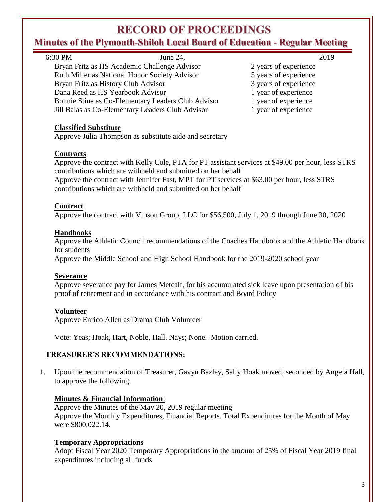# **Minutes of the Plymouth-Shiloh Local Board of Education - Regular Meeting**

| mates of the Frymouth Shifon Local Dour a of Ludenton - Iteguni Meeting |                                                                                                                                                                                                                                                                                                                                                       |                       |  |
|-------------------------------------------------------------------------|-------------------------------------------------------------------------------------------------------------------------------------------------------------------------------------------------------------------------------------------------------------------------------------------------------------------------------------------------------|-----------------------|--|
|                                                                         | 6:30 PM<br>June 24,                                                                                                                                                                                                                                                                                                                                   | 2019                  |  |
|                                                                         | Bryan Fritz as HS Academic Challenge Advisor                                                                                                                                                                                                                                                                                                          | 2 years of experience |  |
|                                                                         | Ruth Miller as National Honor Society Advisor                                                                                                                                                                                                                                                                                                         | 5 years of experience |  |
|                                                                         | Bryan Fritz as History Club Advisor                                                                                                                                                                                                                                                                                                                   | 3 years of experience |  |
|                                                                         | Dana Reed as HS Yearbook Advisor                                                                                                                                                                                                                                                                                                                      | 1 year of experience  |  |
|                                                                         | Bonnie Stine as Co-Elementary Leaders Club Advisor                                                                                                                                                                                                                                                                                                    | 1 year of experience  |  |
|                                                                         | Jill Balas as Co-Elementary Leaders Club Advisor                                                                                                                                                                                                                                                                                                      | 1 year of experience  |  |
|                                                                         | <b>Classified Substitute</b><br>Approve Julia Thompson as substitute aide and secretary                                                                                                                                                                                                                                                               |                       |  |
|                                                                         | <b>Contracts</b><br>Approve the contract with Kelly Cole, PTA for PT assistant services at \$49.00 per hour, less STRS<br>contributions which are withheld and submitted on her behalf<br>Approve the contract with Jennifer Fast, MPT for PT services at \$63.00 per hour, less STRS<br>contributions which are withheld and submitted on her behalf |                       |  |
|                                                                         | <b>Contract</b><br>Approve the contract with Vinson Group, LLC for \$56,500, July 1, 2019 through June 30, 2020                                                                                                                                                                                                                                       |                       |  |
|                                                                         | <b>Handbooks</b><br>Approve the Athletic Council recommendations of the Coaches Handbook and the Athletic Handbook<br>for students<br>Approve the Middle School and High School Handbook for the 2019-2020 school year                                                                                                                                |                       |  |
|                                                                         | <b>Severance</b><br>Approve severance pay for James Metcalf, for his accumulated sick leave upon presentation of his<br>proof of retirement and in accordance with his contract and Board Policy                                                                                                                                                      |                       |  |
|                                                                         | <b>Volunteer</b><br>Approve Enrico Allen as Drama Club Volunteer                                                                                                                                                                                                                                                                                      |                       |  |
|                                                                         | Vote: Yeas; Hoak, Hart, Noble, Hall. Nays; None. Motion carried.                                                                                                                                                                                                                                                                                      |                       |  |
| <b>TREASURER'S RECOMMENDATIONS:</b>                                     |                                                                                                                                                                                                                                                                                                                                                       |                       |  |
| 1.                                                                      | Upon the recommendation of Treasurer, Gavyn Bazley, Sally Hoak moved, seconded by Angela Hall,<br>to approve the following:                                                                                                                                                                                                                           |                       |  |
|                                                                         | <b>Minutes &amp; Financial Information:</b><br>Approve the Minutes of the May 20, 2019 regular meeting<br>Approve the Monthly Expenditures, Financial Reports. Total Expenditures for the Month of May<br>were \$800,022.14.                                                                                                                          |                       |  |

#### **Temporary Appropriations**

Adopt Fiscal Year 2020 Temporary Appropriations in the amount of 25% of Fiscal Year 2019 final expenditures including all funds